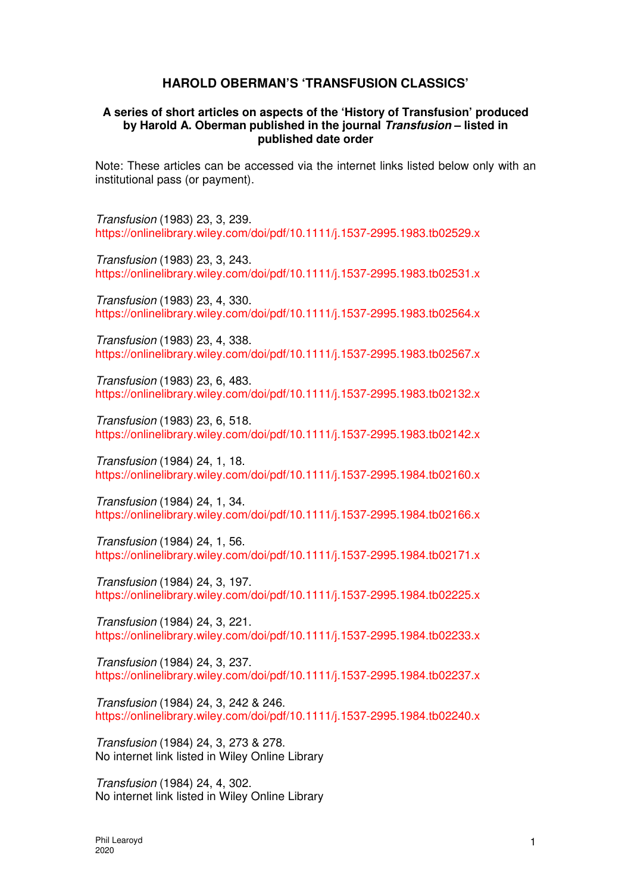## **HAROLD OBERMAN'S 'TRANSFUSION CLASSICS'**

## **A series of short articles on aspects of the 'History of Transfusion' produced by Harold A. Oberman published in the journal Transfusion – listed in published date order**

Note: These articles can be accessed via the internet links listed below only with an institutional pass (or payment).

Transfusion (1983) 23, 3, 239. https://onlinelibrary.wiley.com/doi/pdf/10.1111/j.1537-2995.1983.tb02529.x

Transfusion (1983) 23, 3, 243. https://onlinelibrary.wiley.com/doi/pdf/10.1111/j.1537-2995.1983.tb02531.x

Transfusion (1983) 23, 4, 330. https://onlinelibrary.wiley.com/doi/pdf/10.1111/j.1537-2995.1983.tb02564.x

Transfusion (1983) 23, 4, 338. https://onlinelibrary.wiley.com/doi/pdf/10.1111/j.1537-2995.1983.tb02567.x

Transfusion (1983) 23, 6, 483. https://onlinelibrary.wiley.com/doi/pdf/10.1111/j.1537-2995.1983.tb02132.x

Transfusion (1983) 23, 6, 518. https://onlinelibrary.wiley.com/doi/pdf/10.1111/j.1537-2995.1983.tb02142.x

Transfusion (1984) 24, 1, 18. https://onlinelibrary.wiley.com/doi/pdf/10.1111/j.1537-2995.1984.tb02160.x

Transfusion (1984) 24, 1, 34. https://onlinelibrary.wiley.com/doi/pdf/10.1111/j.1537-2995.1984.tb02166.x

Transfusion (1984) 24, 1, 56. https://onlinelibrary.wiley.com/doi/pdf/10.1111/j.1537-2995.1984.tb02171.x

Transfusion (1984) 24, 3, 197. https://onlinelibrary.wiley.com/doi/pdf/10.1111/j.1537-2995.1984.tb02225.x

Transfusion (1984) 24, 3, 221. https://onlinelibrary.wiley.com/doi/pdf/10.1111/j.1537-2995.1984.tb02233.x

Transfusion (1984) 24, 3, 237. https://onlinelibrary.wiley.com/doi/pdf/10.1111/j.1537-2995.1984.tb02237.x

Transfusion (1984) 24, 3, 242 & 246. https://onlinelibrary.wiley.com/doi/pdf/10.1111/j.1537-2995.1984.tb02240.x

Transfusion (1984) 24, 3, 273 & 278. No internet link listed in Wiley Online Library

Transfusion (1984) 24, 4, 302. No internet link listed in Wiley Online Library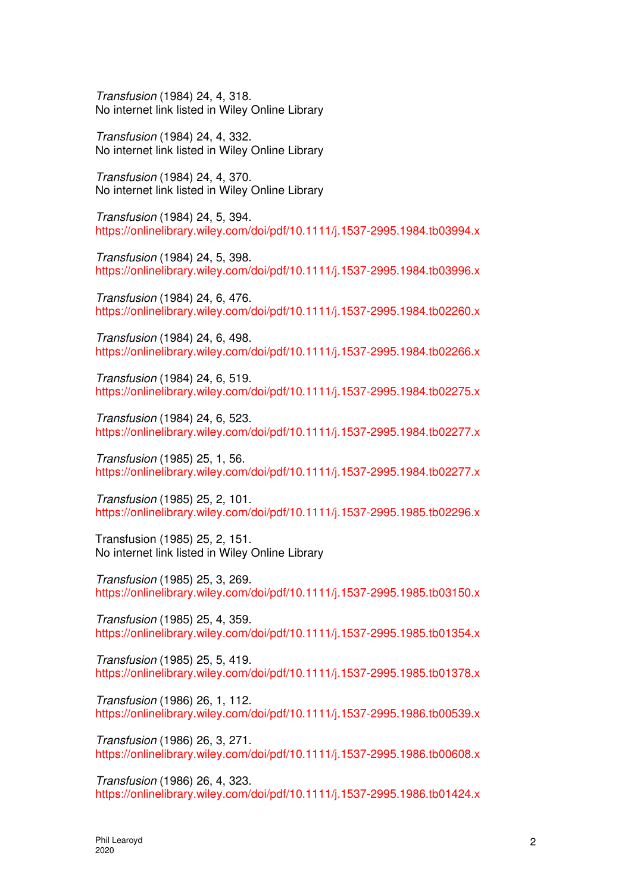Transfusion (1984) 24, 4, 318. No internet link listed in Wiley Online Library

Transfusion (1984) 24, 4, 332. No internet link listed in Wiley Online Library

Transfusion (1984) 24, 4, 370. No internet link listed in Wiley Online Library

Transfusion (1984) 24, 5, 394. https://onlinelibrary.wiley.com/doi/pdf/10.1111/j.1537-2995.1984.tb03994.x

Transfusion (1984) 24, 5, 398. https://onlinelibrary.wiley.com/doi/pdf/10.1111/j.1537-2995.1984.tb03996.x

Transfusion (1984) 24, 6, 476. https://onlinelibrary.wiley.com/doi/pdf/10.1111/j.1537-2995.1984.tb02260.x

Transfusion (1984) 24, 6, 498. https://onlinelibrary.wiley.com/doi/pdf/10.1111/j.1537-2995.1984.tb02266.x

Transfusion (1984) 24, 6, 519. https://onlinelibrary.wiley.com/doi/pdf/10.1111/j.1537-2995.1984.tb02275.x

Transfusion (1984) 24, 6, 523. https://onlinelibrary.wiley.com/doi/pdf/10.1111/j.1537-2995.1984.tb02277.x

Transfusion (1985) 25, 1, 56. https://onlinelibrary.wiley.com/doi/pdf/10.1111/j.1537-2995.1984.tb02277.x

Transfusion (1985) 25, 2, 101. https://onlinelibrary.wiley.com/doi/pdf/10.1111/j.1537-2995.1985.tb02296.x

Transfusion (1985) 25, 2, 151. No internet link listed in Wiley Online Library

Transfusion (1985) 25, 3, 269. https://onlinelibrary.wiley.com/doi/pdf/10.1111/j.1537-2995.1985.tb03150.x

Transfusion (1985) 25, 4, 359. https://onlinelibrary.wiley.com/doi/pdf/10.1111/j.1537-2995.1985.tb01354.x

Transfusion (1985) 25, 5, 419. https://onlinelibrary.wiley.com/doi/pdf/10.1111/j.1537-2995.1985.tb01378.x

Transfusion (1986) 26, 1, 112. https://onlinelibrary.wiley.com/doi/pdf/10.1111/j.1537-2995.1986.tb00539.x

Transfusion (1986) 26, 3, 271. https://onlinelibrary.wiley.com/doi/pdf/10.1111/j.1537-2995.1986.tb00608.x

Transfusion (1986) 26, 4, 323. https://onlinelibrary.wiley.com/doi/pdf/10.1111/j.1537-2995.1986.tb01424.x